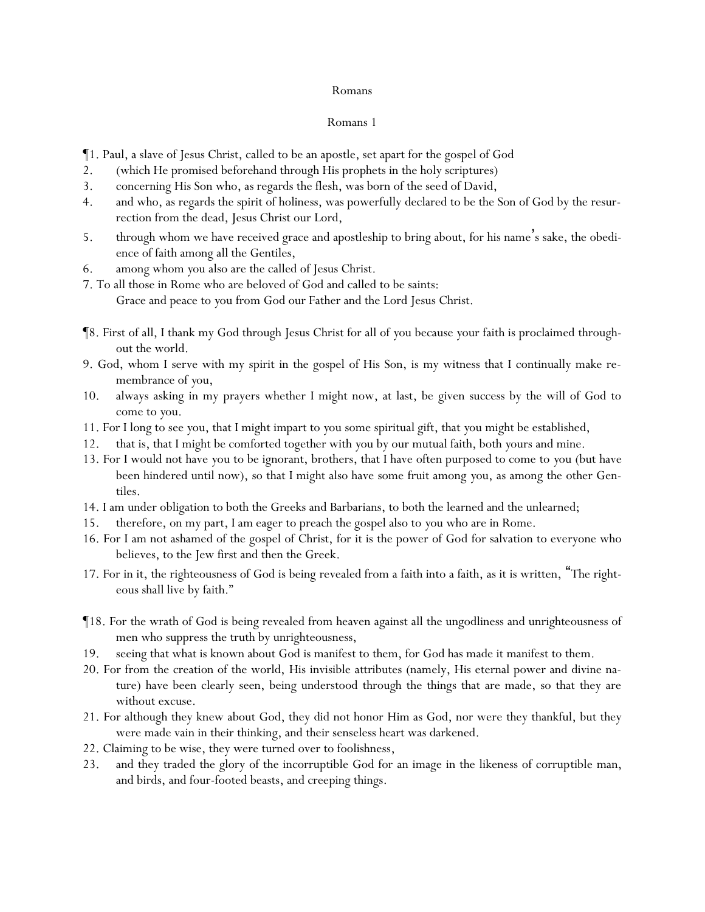- ¶1. Paul, a slave of Jesus Christ, called to be an apostle, set apart for the gospel of God
- 2. (which He promised beforehand through His prophets in the holy scriptures)
- 3. concerning His Son who, as regards the flesh, was born of the seed of David,
- 4. and who, as regards the spirit of holiness, was powerfully declared to be the Son of God by the resurrection from the dead, Jesus Christ our Lord,
- 5. through whom we have received grace and apostleship to bring about, for his name's sake, the obedience of faith among all the Gentiles,
- 6. among whom *y*ou also are the called of Jesus Christ.
- 7. To all those in Rome who are beloved of God and called to be saints:
	- Grace and peace to *y*ou from God our Father and the Lord Jesus Christ.
- ¶8. First of all, I thank my God through Jesus Christ for all of *y*ou because *y*our faith is proclaimed throughout the world.
- 9. God, whom I serve with my spirit in the gospel of His Son, is my witness that I continually make remembrance of *y*ou,
- 10. always asking in my prayers whether I might now, at last, be given success by the will of God to come to *y*ou.
- 11. For I long to see *y*ou, that I might impart to *y*ou some spiritual gift, that *y*ou might be established,
- 12. that is, that I might be comforted together with *y*ou by our mutual faith, both *y*ours and mine.
- 13. For I would not have *y*ou to be ignorant, brothers, that I have often purposed to come to *y*ou (but have been hindered until now), so that I might also have some fruit among *y*ou, as among the other Gentiles.
- 14. I am under obligation to both the Greeks and Barbarians, to both the learned and the unlearned;
- 15. therefore, on my part, I am eager to preach the gospel also to *y*ou who are in Rome.
- 16. For I am not ashamed of the gospel of Christ, for it is the power of God for salvation to everyone who believes, to the Jew first and then the Greek.
- 17. For in it, the righteousness of God is being revealed from a faith into a faith, as it is written, "The righteous shall live by faith."
- ¶18. For the wrath of God is being revealed from heaven against all the ungodliness and unrighteousness of men who suppress the truth by unrighteousness,
- 19. seeing that what is known about God is manifest to them, for God has made it manifest to them.
- 20. For from the creation of the world, His invisible attributes (namely, His eternal power and divine nature) have been clearly seen, being understood through the things that are made, so that they are without excuse.
- 21. For although they knew about God, they did not honor Him as God, nor were they thankful, but they were made vain in their thinking, and their senseless heart was darkened.
- 22. Claiming to be wise, they were turned over to foolishness,
- 23. and they traded the glory of the incorruptible God for an image in the likeness of corruptible man, and birds, and four-footed beasts, and creeping things.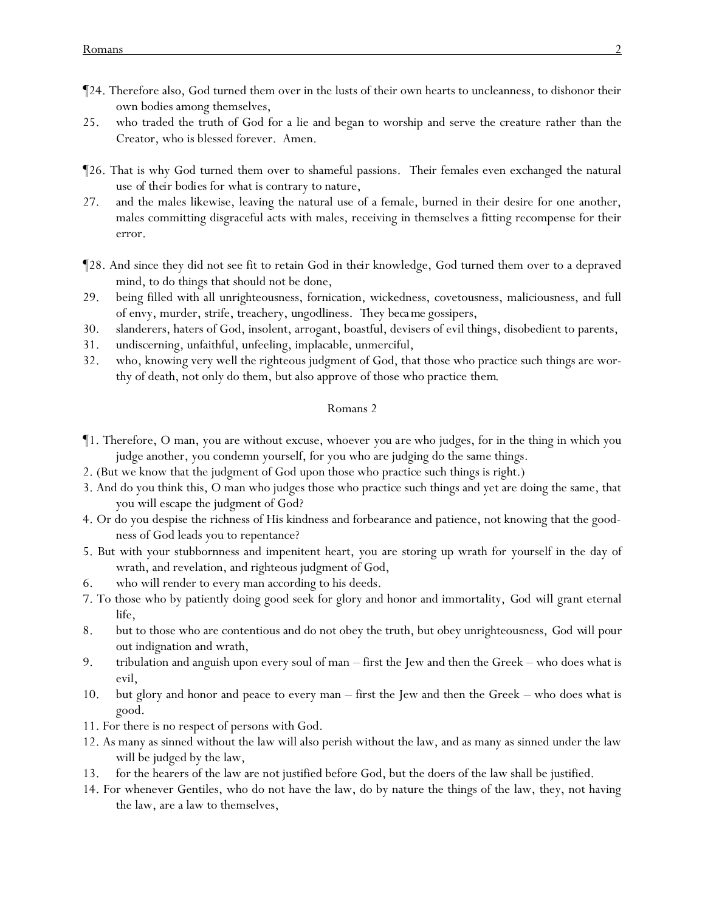- ¶24. Therefore also, God turned them over in the lusts of their own hearts to uncleanness, to dishonor their own bodies among themselves,
- 25. who traded the truth of God for a lie and began to worship and serve the creature rather than the Creator, who is blessed forever. Amen.
- ¶26. That is why God turned them over to shameful passions. Their females even exchanged the natural use *of their bodies* for what is contrary to nature,
- 27. and the males likewise, leaving the natural use of a female, burned in their desire for one another, males committing disgraceful acts with males, receiving in themselves a fitting recompense for their error.
- ¶28. And since they did not see fit to retain God in *their* knowledge, God turned them over to a depraved mind, to do things that should not be done,
- 29. being filled with all unrighteousness, fornication, wickedness, covetousness, maliciousness, and full of envy, murder, strife, treachery, ungodliness. *They beca me* gossipers,
- 30. slanderers, haters of God, insolent, arrogant, boastful, devisers of evil things, disobedient to parents,
- 31. undiscerning, unfaithful, unfeeling, implacable, unmerciful,
- 32. who, knowing very well the righteous judgment of God, that those who practice such things are worthy of death, not only do them, but also approve of those who practice *them*.

- ¶1. Therefore, O man, you are without excuse, whoever *you are* who judges, for in the thing in which you judge another, you condemn yourself, for you who are judging do the same things.
- 2. (But we know that the judgment of God upon those who practice such things is right.)
- 3. And do you think this, O man who judges those who practice such things and yet are doing the same, that you will escape the judgment of God?
- 4. Or do you despise the richness of His kindness and forbearance and patience, not knowing that the goodness of God leads you to repentance?
- 5. But with your stubbornness and impenitent heart, you are storing up wrath for yourself in the day of wrath, and revelation, and righteous judgment of God,
- 6. who will render to every man according to his deeds.
- 7. To those who by patiently doing good seek for glory and honor and immortality, *God will grant* eternal life,
- 8. but to those who are contentious and do not obey the truth, but obey unrighteousness, *God will pour out* indignation and wrath,
- 9. tribulation and anguish upon every soul of man first the Jew and then the Greek who does what is evil,
- 10. but glory and honor and peace to every man first the Jew and then the Greek who does what is good.
- 11. For there is no respect of persons with God.
- 12. As many as sinned without the law will also perish without the law, and as many as sinned under the law will be judged by the law,
- 13. for the hearers of the law are not justified before God, but the doers of the law shall be justified.
- 14. For whenever Gentiles, who do not have the law, do by nature the things of the law, they, not having the law, are a law to themselves,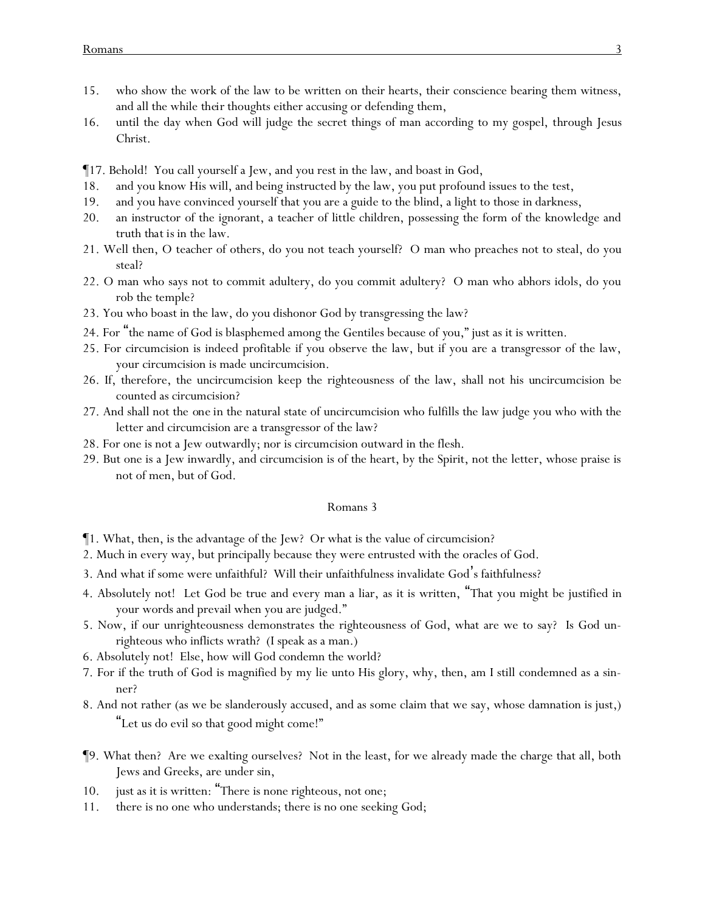- 15. who show the work of the law to be written on their hearts, their conscience bearing them witness, and all the while *their* thoughts either accusing or defending them,
- 16. until the day when God will judge the secret things of man according to my gospel, through Jesus Christ.
- ¶17. Behold! You call yourself a Jew, and you rest in the law, and boast in God,
- 18. and you know His will, and being instructed by the law, you put profound issues to the test,
- 19. and you have convinced yourself that you are a guide to the blind, a light to those in darkness,
- 20. an instructor of the ignorant, a teacher of little children, possessing the form of the knowledge and truth *that is* in the law.
- 21. Well then, O teacher of others, do you not teach yourself? O man who preaches not to steal, do you steal?
- 22. O man who says not to commit adultery, do you commit adultery? O man who abhors idols, do you rob the temple?
- 23. You who boast in the law, do you dishonor God by transgressing the law?
- 24. For "the name of God is blasphemed among the Gentiles because of *y*ou," just as it is written.
- 25. For circumcision is indeed profitable if you observe the law, but if you are a transgressor of the law, your circumcision is made uncircumcision.
- 26. If, therefore, the uncircumcision keep the righteousness of the law, shall not his uncircumcision be counted as circumcision?
- 27. And shall not the *one in* the natural state of uncircumcision who fulfills the law judge you who with the letter and circumcision are a transgressor of the law?
- 28. For one is not a Jew outwardly; nor is circumcision outward in the flesh.
- 29. But one is a Jew inwardly, and circumcision is of the heart, by the Spirit, not the letter, whose praise is not of men, but of God.

- $\P$ 1. What, then, is the advantage of the Jew? Or what is the value of circumcision?
- 2. Much in every way, but principally because they were entrusted with the oracles of God.
- 3. And what if some were unfaithful? Will their unfaithfulness invalidate God's faithfulness?
- 4. Absolutely not! Let God be true and every man a liar, as it is written, "That you might be justified in your words and prevail when you are judged."
- 5. Now, if our unrighteousness demonstrates the righteousness of God, what are we to say? Is God unrighteous who inflicts wrath? (I speak as a man.)
- 6. Absolutely not! Else, how will God condemn the world?
- 7. For if the truth of God is magnified by my lie unto His glory, why, then, am I still condemned as a sinner?
- 8. And not rather (as we be slanderously accused, and as some claim that we say, whose damnation is just,) "Let us do evil so that good might come!"
- ¶9. What then? Are we exalting ourselves? Not in the least, for we already made the charge that all, both Jews and Greeks, are under sin,
- 10. just as it is written: "There is none righteous, not one;
- 11. there is no one who understands; there is no one seeking God;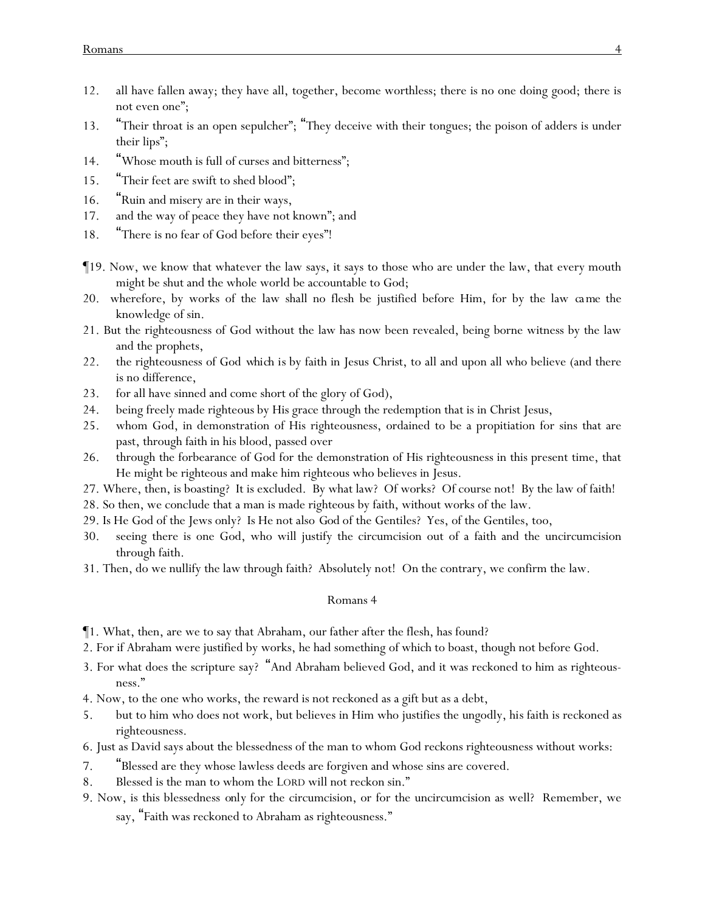- 12. all have fallen away; they have all, together, become worthless; there is no one doing good; there is not even one";
- 13. "Their throat is an open sepulcher"; "They deceive with their tongues; the poison of adders is under their lips";
- 14. "Whose mouth is full of curses and bitterness";
- 15. "Their feet are swift to shed blood";
- 16. "Ruin and misery are in their ways,
- 17. and the way of peace they have not known"; *and*
- 18. "There is no fear of God before their eyes"!
- ¶19. Now, we know that whatever the law says, it says to those who are under the law, that every mouth might be shut and the whole world be accountable to God;
- 20. wherefore, by works of the law shall no flesh be justified before Him, for by the law *came* the knowledge of sin.
- 21. But the righteousness of God without the law has now been revealed, being borne witness by the law and the prophets,
- 22. the righteousness of God *which is* by faith in Jesus Christ, to all and upon all who believe (and there is no difference,
- 23. for all have sinned and come short of the glory of God),
- 24. being freely made righteous by His grace through the redemption that is in Christ Jesus,
- 25. whom God, in demonstration of His righteousness, ordained to be a propitiation for sins that are past, through faith in his blood, passed over
- 26. through the forbearance of God for the demonstration of His righteousness in this present time, that He might be righteous and make him righteous who believes in Jesus.
- 27. Where, then, is boasting? It is excluded. By what law? Of works? Of course not! By the law of faith!
- 28. So then, we conclude that a man is made righteous by faith, without works of the law.
- 29. Is He God of the Jews only? Is He not also *God* of the Gentiles? Yes, of the Gentiles, too,
- 30. seeing there is one God, who will justify the circumcision out of a faith and the uncircumcision through faith.
- 31. Then, do we nullify the law through faith? Absolutely not! On the contrary, we confirm the law.

- ¶1. What, then, are we to say that Abraham, our father after the flesh, has found?
- 2. For if Abraham were justified by works, he had something of which to boast, though not before God.
- 3. For what does the scripture say? "And Abraham believed God, and it was reckoned to him as righteousness."
- 4. Now, to the one who works, the reward is not reckoned as a gift but as a debt,
- 5. but to him who does not work, but believes in Him who justifies the ungodly, his faith is reckoned as righteousness.
- 6. Just as David says about the blessedness of the man to whom God reckons righteousness without works:
- 7. "Blessed are they whose lawless deeds are forgiven and whose sins are covered.
- 8. Blessed is the man to whom the LORD will not reckon sin."
- 9. Now, is this blessedness *only* for the circumcision, or for the uncircumcision as well? Remember, we say, "Faith was reckoned to Abraham as righteousness."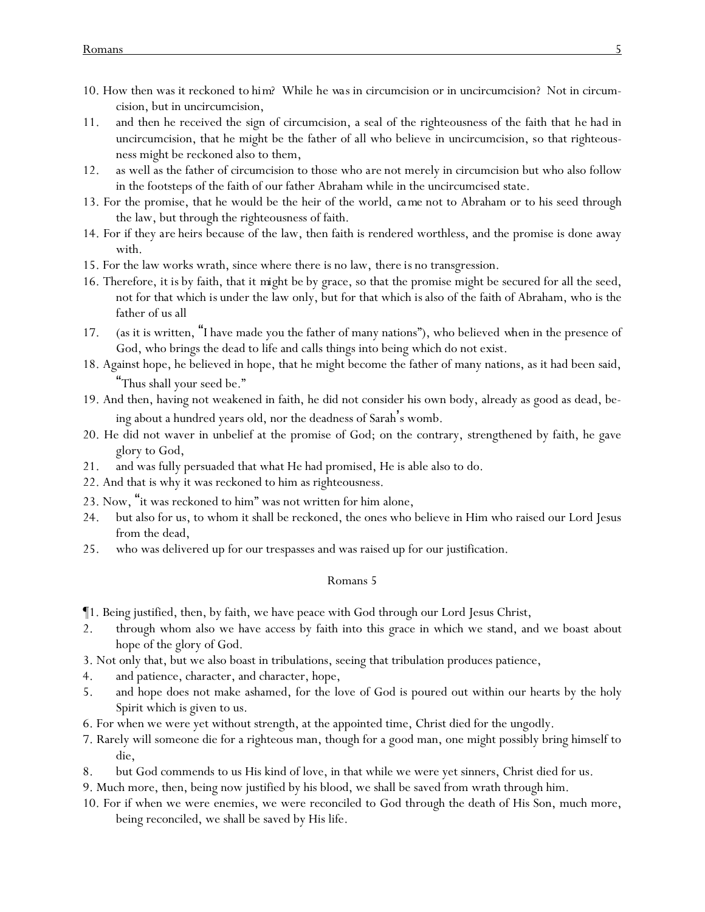- 10. How then was it reckoned *to him*? While *he was* in circumcision or in uncircumcision? Not in circumcision, but in uncircumcision,
- 11. and then he received the sign of circumcision, a seal of the righteousness of the faith that *he had* in uncircumcision, that he might be the father of all who believe in uncircumcision, so that righteousness might be reckoned also to them,
- 12. as well as the father of circumcision to those who *are* not merely in circumcision but who also follow in the footsteps of the faith of our father Abraham while in the uncircumcised state.
- 13. For the promise, that he would be the heir of the world, *ca me* not to Abraham or to his seed through the law, but through the righteousness of faith.
- 14. For if they *are* heirs because of the law, then faith is rendered worthless, and the promise is done away with.
- 15. For the law works wrath, since where there is no law, *there is* no transgression.
- 16. Therefore, *it is* by faith, that *it might be* by grace, so that the promise might be secured for all the seed, not for that which *is* under the law only, but for that which *is* also of the faith of Abraham, who is the father of us all
- 17. (as it is written, "I have made you the father of many nations"), who believed *when* in the presence of God, who brings the dead to life and calls things into being which do not exist.
- 18. Against hope, he believed in hope, that he might become the father of many nations, as it had been said, "Thus shall your seed be."
- 19. And then, having not weakened in faith, he did not consider his own body, already as good as dead, being about a hundred years old, nor the deadness of Sarah's womb.
- 20. He did not waver in unbelief at the promise of God; on the contrary, strengthened by faith, he gave glory to God,
- 21. and was fully persuaded that what He had promised, He is able also to do.
- 22. And that is why it was reckoned to him as righteousness.
- 23. Now, "it was reckoned to him" was not written for him alone,
- 24. but also for us, to whom it shall be reckoned, the ones who believe in Him who raised our Lord Jesus from the dead,
- 25. who was delivered up for our trespasses and was raised up for our justification.

- ¶1. Being justified, then, by faith, we have peace with God through our Lord Jesus Christ,
- 2. through whom also we have access by faith into this grace in which we stand, and we boast about hope of the glory of God.
- 3. Not only that, but we also boast in tribulations, seeing that tribulation produces patience,
- 4. and patience, character, and character, hope,
- 5. and hope does not make ashamed, for the love of God is poured out within our hearts by the holy Spirit which is given to us.
- 6. For when we were yet without strength, at the appointed time, Christ died for the ungodly.
- 7. Rarely will someone die for a righteous man, though for a good man, one might possibly bring himself to die,
- 8. but God commends to us His kind of love, in that while we were yet sinners, Christ died for us.
- 9. Much more, then, being now justified by his blood, we shall be saved from wrath through him.
- 10. For if when we were enemies, we were reconciled to God through the death of His Son, much more, being reconciled, we shall be saved by His life.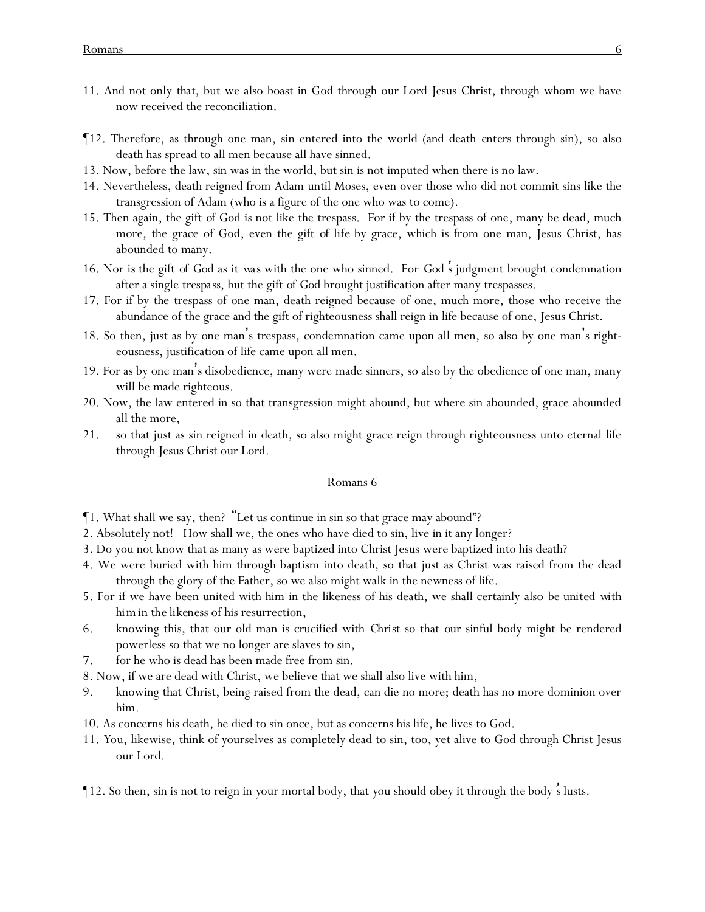- 11. And not only *that*, but we also boast in God through our Lord Jesus Christ, through whom we have now received the reconciliation.
- ¶12. Therefore, as through one man, sin entered into the world (and death *enters* through sin), so also death has spread to all men because all have sinned.
- 13. Now, before the law, sin was in the world, but sin is not imputed when there is no law.
- 14. Nevertheless, death reigned from Adam until Moses, even over those who did not commit sins like the transgression of Adam (who is a figure of the one who was to come).
- 15. Then again, the gift *of God* is not like the trespass. For if by the trespass of one, many be dead, much more, the grace of God, even the gift *of life* by grace, which is from one man, Jesus Christ, has abounded to many.
- 16. Nor *is* the gift *of God* as *it was* with the one who sinned. For *God* '*s* judgment brought condemnation after a single *trespass*, but the gift *of God* brought justification after many trespasses.
- 17. For if by the trespass of one man, death reigned because of one, much more, those who receive the abundance of the grace and the gift of righteousness shall reign in life because of one, Jesus Christ.
- 18. So then, just as by one man's trespass, condemnation came upon all men, so also by one man's righteousness, justification of life came upon all men.
- 19. For as by one man's disobedience, many were made sinners, so also by the obedience of one man, many will be made righteous.
- 20. Now, the law entered in so that transgression might abound, but where sin abounded, grace abounded all the more,
- 21. so that just as sin reigned in death, so also might grace reign through righteousness unto eternal life through Jesus Christ our Lord.

- ¶1. What shall we say, then? "Let us continue in sin so that grace may abound"?
- 2. Absolutely not! How shall we, the ones who have died to sin, live in it any longer?
- 3. Do you not know that as many as were baptized into Christ Jesus were baptized into his death?
- 4. We were buried with him through baptism into death, so that just as Christ was raised from the dead through the glory of the Father, so we also might walk in the newness of life.
- 5. For if we have been united with him in the likeness of his death, we shall certainly also *be united with him in the likeness* of his resurrection,
- 6. knowing this, that our old man is crucified with *Christ* so that *our* sinful body might be rendered powerless so that we no longer are slaves to sin,
- 7. for he who is dead has been made free from sin.
- 8. Now, if we are dead with Christ, we believe that we shall also live with him,
- 9. knowing that Christ, being raised from the dead, can die no more; death has no more dominion over him.
- 10. As concerns his death, he died to sin once, but as concerns his life, he lives to God.
- 11. *Y*ou, likewise, think of *y*ourselves as completely dead to sin, too, yet alive to God through Christ Jesus our Lord.
- ¶12. So then, sin is not to reign in *y*our mortal body, that *y*ou should obey it through *the body* '*s* lusts.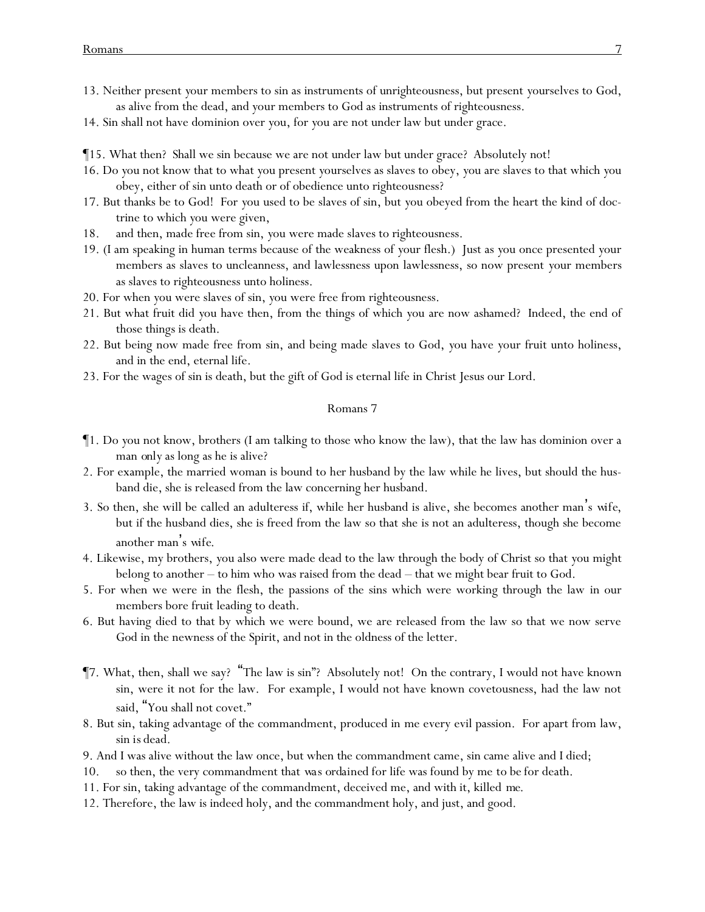- 13. Neither present *y*our members to sin as instruments of unrighteousness, but present *y*ourselves to God, as alive from the dead, and *y*our members to God as instruments of righteousness.
- 14. Sin shall not have dominion over *y*ou, for *y*ou are not under law but under grace.
- ¶15. What then? Shall we sin because we are not under law but under grace? Absolutely not!
- 16. Do *y*ou not know that to what *y*ou present *y*ourselves as slaves to obey, *y*ou are slaves to that which *y*ou obey, either of sin unto death or of obedience unto righteousness?
- 17. But thanks be to God! For *y*ou used to be slaves of sin, but *y*ou obeyed from the heart the kind of doctrine to which *y*ou were given,
- 18. and then, made free from sin, *y*ou were made slaves to righteousness.
- 19. (I am speaking in human terms because of the weakness of *y*our flesh.) Just as *y*ou once presented *y*our members as slaves to uncleanness, and lawlessness upon lawlessness, so now present *y*our members as slaves to righteousness unto holiness.
- 20. For when *y*ou were slaves of sin, *y*ou were free from righteousness.
- 21. But what fruit did *y*ou have then, from the things of which *y*ou are now ashamed? Indeed, the end of those things is death.
- 22. But being now made free from sin, and being made slaves to God, *y*ou have *y*our fruit unto holiness, and in the end, eternal life.
- 23. For the wages of sin is death, but the gift of God is eternal life in Christ Jesus our Lord.

- ¶1. Do *y*ou not know, brothers (I am talking to those who know the law), that the law has dominion over a man *only* as long as he is alive?
- 2. For example, the married woman is bound to *her* husband by the law while he lives, but should the husband die, she is released from the law concerning her husband.
- 3. So then, she will be called an adulteress if, while her husband is alive, she becomes another man's *wife*, but if the husband dies, she is freed from the law so that she is not an adulteress, though she become another man's *wife*.
- 4. Likewise, my brothers, *y*ou also were made dead to the law through the body of Christ so that *y*ou might belong to another – to him who was raised from the dead – that we might bear fruit to God.
- 5. For when we were in the flesh, the passions of the sins which were working through the law in our members bore fruit leading to death.
- 6. But having died to that by which we were bound, we are released from the law so that we now serve *God* in the newness of the Spirit, and not in the oldness of the letter.
- ¶7. What, then, shall we say? "The law is sin"? Absolutely not! On the contrary, I would not have known sin, were it not for the law. For example, I would not have known covetousness, had the law not said, "You shall not covet."
- 8. But sin, taking advantage of the commandment, produced in me every evil passion. For apart from law, sin *is* dead.
- 9. And I was alive without the law once, but when the commandment came, sin came alive and I died;
- 10. so then, the very commandment that *was ordained* for life was found by me *to be* for death.
- 11. For sin, taking advantage of the commandment, deceived me, and with it, killed *me*.
- 12. Therefore, the law is indeed holy, and the commandment holy, and just, and good.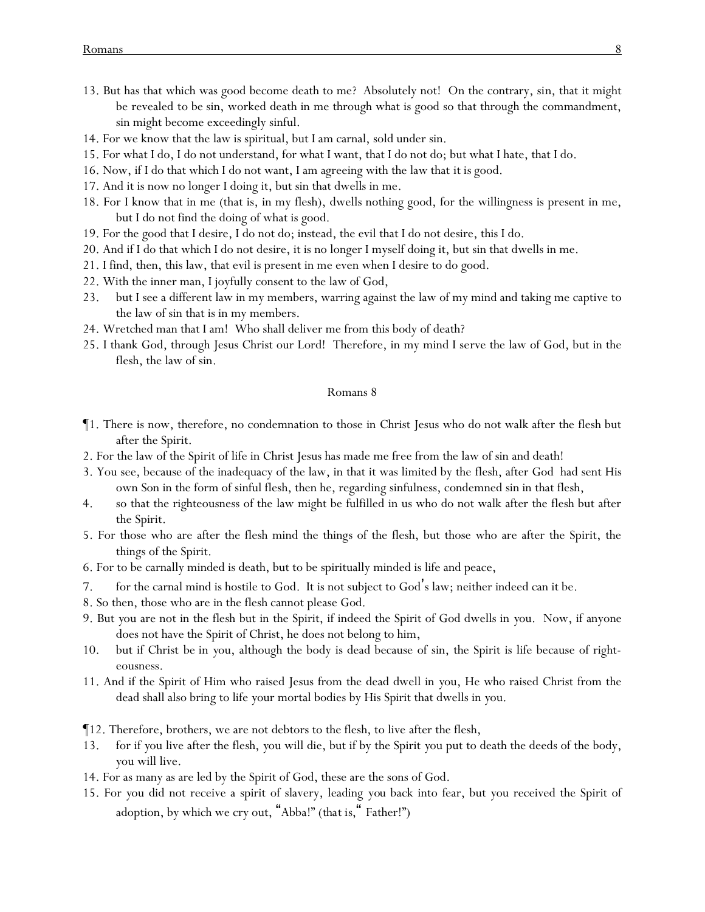- 13. But has that which was good become death to me? Absolutely not! On the contrary, sin, that it might be revealed *to be* sin, worked death in me through what is good so that through the commandment, sin might become exceedingly sinful.
- 14. For we know that the law is spiritual, but I am carnal, sold under sin.
- 15. For what I do, I do not understand, for what I want, that I do not do; but what I hate, that I do.
- 16. Now, if I do that which I do not want, I am agreeing with the law that *it is* good.
- 17. And it is now no longer I doing it, but sin that dwells in me.
- 18. For I know that in me (that is, in my flesh), dwells nothing good, for the willingness is present in me, but I do not find the doing of what is good.
- 19. For the good that I desire, I do not do; instead, the evil that I do not desire, this I do.
- 20. And if I do that which I do not desire, it is no longer I myself doing it, but sin that dwells in me.
- 21. I find, then, this law, that evil is present in me even when I desire to do good.
- 22. With the inner man, I joyfully consent to the law of God,
- 23. but I see a different law in my members, warring against the law of my mind and taking me captive to the law of sin that is in my members.
- 24. Wretched man that I am! Who shall deliver me from this body of death?
- 25. I thank God, through Jesus Christ our Lord! Therefore, in my mind I serve the law of God, but in the flesh, the law of sin.

- ¶1. There is now, therefore, no condemnation to those in Christ Jesus who do not walk after the flesh but after the Spirit.
- 2. For the law of the Spirit of life in Christ Jesus has made me free from the law of sin and death!
- 3. You see, because of the inadequacy of the law, in that it was limited by the flesh, after God had sent His own Son in the form of sinful flesh, then he, regarding sinfulness, condemned sin in that flesh,
- 4. so that the righteousness of the law might be fulfilled in us who do not walk after the flesh but after the Spirit.
- 5. For those who are after the flesh mind the things of the flesh, but those who are after the Spirit, the things of the Spirit.
- 6. For to be carnally minded is death, but to be spiritually minded is life and peace,
- 7. for the carnal mind is hostile to God. It is not subject to God's law; neither indeed can it be.
- 8. So then, those who are in the flesh cannot please God.
- 9. But *y*ou are not in the flesh but in the Spirit, if indeed the Spirit of God dwells in *y*ou. Now, if anyone does not have the Spirit of Christ, he does not belong to him,
- 10. but if Christ *be* in *y*ou, although the body is dead because of sin, the Spirit is life because of righteousness.
- 11. And if the Spirit of Him who raised Jesus from the dead dwell in *y*ou, He who raised Christ from the dead shall also bring to life *y*our mortal bodies by His Spirit that dwells in *y*ou.
- ¶12. Therefore, brothers, we are not debtors to the flesh, to live after the flesh,
- 13. for if *y*ou live after the flesh, *y*ou will die, but if by the Spirit *y*ou put to death the deeds of the body, *y*ou will live.
- 14. For as many as are led by the Spirit of God, these are the sons of God.
- 15. For *y*ou did not receive a spirit of slavery, leading *you* back into fear, but *y*ou received the Spirit of adoption, by which we cry out, "Abba!" (*that is,*" Father!")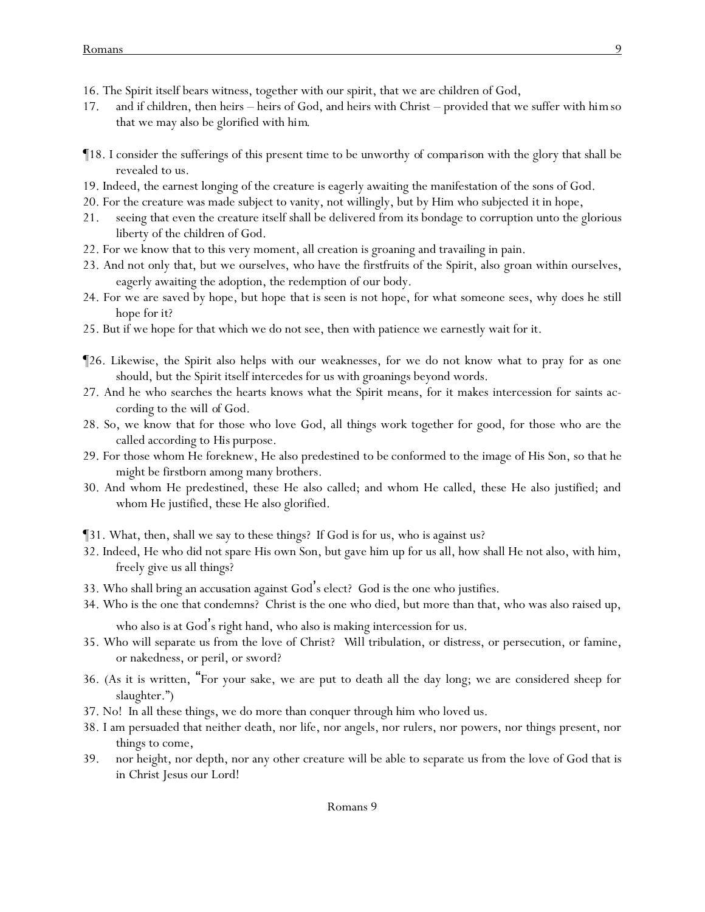- 16. The Spirit itself bears witness, together with our spirit, that we are children of God,
- 17. and if children, then heirs heirs of God, and heirs with Christ provided that we suffer with *him*so that we may also be glorified with *him*.
- ¶18. I consider the sufferings of this present time to be unworthy *of comparison* with the glory that shall be revealed to us.
- 19. Indeed, the earnest longing of the creature is eagerly awaiting the manifestation of the sons of God.
- 20. For the creature was made subject to vanity, not willingly, but by Him who subjected *it* in hope,
- 21. seeing that even the creature itself shall be delivered from its bondage to corruption unto the glorious liberty of the children of God.
- 22. For we know that to this very moment, all creation is groaning and travailing in pain.
- 23. And not only *that*, but we ourselves, who have the firstfruits of the Spirit, also groan within ourselves, eagerly awaiting the adoption, the redemption of our body.
- 24. For we are saved by hope, but hope *that is* seen is not hope, for what someone sees, why does he still hope *for it*?
- 25. But if we hope for that which we do not see, then with patience we earnestly wait for it.
- ¶26. Likewise, the Spirit also helps with our weaknesses, for we do not know what to pray for as one should, but the Spirit itself intercedes for us with groanings beyond words.
- 27. And he who searches the hearts knows what the Spirit means, for it makes intercession for saints according to *the will of* God.
- 28. So, we know that for those who love God, all things work together for good, for those who are the called according to *His* purpose.
- 29. For those whom He foreknew, He also predestined *to be* conformed to the image of His Son, so that he might be firstborn among many brothers.
- 30. And whom He predestined, these He also called; and whom He called, these He also justified; and whom He justified, these He also glorified.
- ¶31. What, then, shall we say to these things? If God is for us, who is against us?
- 32. Indeed, He who did not spare His own Son, but gave him up for us all, how shall He not also, with him, freely give us all things?
- 33. Who shall bring an accusation against God's elect? God is the one who justifies.
- 34. Who is the one that condemns? Christ is the one who died, but more than that, who was also raised up, who also is at God's right hand, who also is making intercession for us.
- 35. Who will separate us from the love of Christ? *Will* tribulation, or distress, or persecution, or famine, or nakedness, or peril, or sword?
- 36. (As it is written, "For your sake, we are put to death all the day long; we are considered sheep for slaughter.")
- 37. No! In all these things, we do more than conquer through him who loved us.
- 38. I am persuaded that neither death, nor life, nor angels, nor rulers, nor powers, nor things present, nor things to come,
- 39. nor height, nor depth, nor any other creature will be able to separate us from the love of God that is in Christ Jesus our Lord!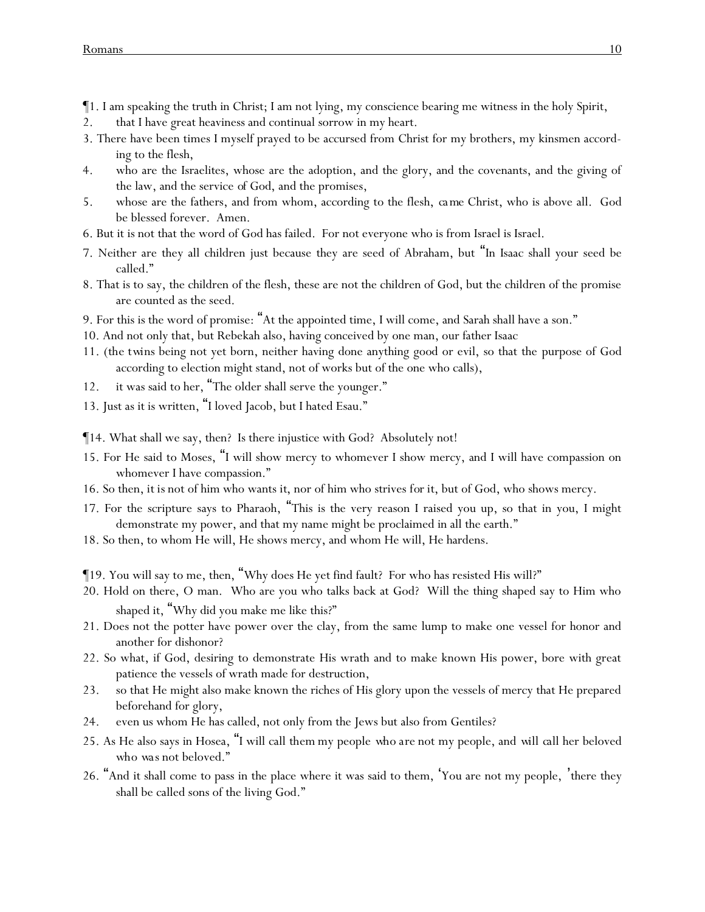¶1. I am speaking the truth in Christ; I am not lying, my conscience bearing me witness in the holy Spirit,

- 2. that I have great heaviness and continual sorrow in my heart.
- 3. There have been times I myself prayed to be accursed from Christ for my brothers, my kinsmen according to the flesh,
- 4. who are the Israelites, whose are the adoption, and the glory, and the covenants, and the giving of the law, and the service *of God*, and the promises,
- 5. whose are the fathers, and from whom, according to the flesh, *ca me* Christ, who is above all. God be blessed forever. Amen.
- 6. But it is not that the word of God has failed. For not everyone who is from Israel is Israel.
- 7. Neither are they all children just because they are seed of Abraham, but "In Isaac shall your seed be called."
- 8. That is to say, the children of the flesh, these are not the children of God, but the children of the promise are counted as the seed.
- 9. For this is the word of promise: "At the appointed time, I will come, and Sarah shall have a son."
- 10. And not only that, but Rebekah also, having conceived by one man, our father Isaac
- 11. (*the twins* being not yet born, neither having done anything good or evil, so that the purpose of God according to election might stand, not of works but of the one who calls),
- 12. it was said to her, "The older shall serve the younger."
- 13. Just as it is written, "I loved Jacob, but I hated Esau."

¶14. What shall we say, then? Is there injustice with God? Absolutely not!

- 15. For He said to Moses, "I will show mercy to whomever I show mercy, and I will have compassion on whomever I have compassion."
- 16. So then, *it is* not of him who wants *it*, nor of him who strives *for it*, but of God, who shows mercy.
- 17. For the scripture says to Pharaoh, "This is the very reason I raised you up, so that in you, I might demonstrate my power, and that my name might be proclaimed in all the earth."
- 18. So then, to whom He will, He shows mercy, and whom He will, He hardens.
- ¶19. You will say to me, then, "Why does He yet find fault? For who has resisted His will?"
- 20. Hold on there, O man. Who are you who talks back at God? Will the thing shaped say to Him who shaped it, "Why did you make me like this?"
- 21. Does not the potter have power over the clay, from the same lump to make one vessel for honor and another for dishonor?
- 22. So what, if God, desiring to demonstrate His wrath and to make known His power, bore with great patience the vessels of wrath made for destruction,
- 23. so that He might also make known the riches of His glory upon the vessels of mercy that He prepared beforehand for glory,
- 24. even us whom He has called, not only from the Jews but also from Gentiles?
- 25. As He also says in Hosea, "I will call *them* my people *who are* not my people, and *will call* her beloved *who was* not beloved."
- 26. "And it shall come to pass in the place where it was said to them, 'You are not my people, 'there they shall be called sons of the living God."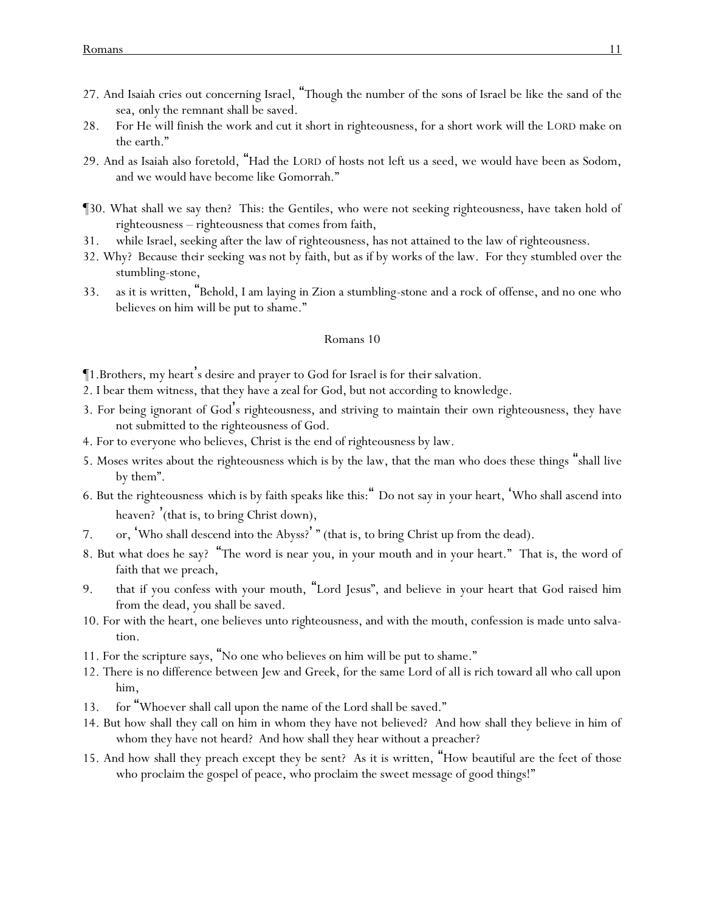- 27. And Isaiah cries out concerning Israel, "Though the number of the sons of Israel be like the sand of the sea, *only* the remnant shall be saved.
- 28. For He will finish the work and cut it short in righteousness, for a short work will the LORD make on the earth."
- 29. And as Isaiah also foretold, "Had the LORD of hosts not left us a seed, we would have been as Sodom, and we would have become like Gomorrah."
- ¶30. What shall we say then? This: the Gentiles, who were not seeking righteousness, have taken hold of righteousness – righteousness that comes from faith,
- 31. while Israel, seeking after the law of righteousness, has not attained to the law of righteousness.
- 32. Why? Because *their seeking was* not by faith, but as if by works of the law. For they stumbled over the stumbling-stone,
- 33. as it is written, "Behold, I am laying in Zion a stumbling-stone and a rock of offense, and no one who believes on him will be put to shame."

- ¶1.Brothers, my heart's desire and prayer to God for Israel is for *their* salvation.
- 2. I bear them witness, that they have a zeal for God, but not according to knowledge.
- 3. For being ignorant of God's righteousness, and striving to maintain their own righteousness, they have not submitted to the righteousness of God.
- 4. For to everyone who believes, Christ is the end of righteousness by law.
- 5. Moses writes about the righteousness which is by the law, that the man who does these things "shall live by them".
- 6. But the righteousness *which is* by faith speaks like this:" Do not say in your heart, 'Who shall ascend into heaven? (that is, to bring Christ down),
- 7. or, 'Who shall descend into the Abyss?' " (that is, to bring Christ up from the dead).
- 8. But what does he say? "The word is near you, in your mouth and in your heart." That is, the word of faith that we preach,
- 9. that if you confess with your mouth, "Lord Jesus", and believe in your heart that God raised him from the dead, you shall be saved.
- 10. For with the heart, one believes unto righteousness, and with the mouth, confession is made unto salvation.
- 11. For the scripture says, "No one who believes on him will be put to shame."
- 12. There is no difference between Jew and Greek, for the same Lord of all is rich toward all who call upon him,
- 13. for "Whoever shall call upon the name of the Lord shall be saved."
- 14. But how shall they call on him in whom they have not believed? And how shall they believe in him of whom they have not heard? And how shall they hear without a preacher?
- 15. And how shall they preach except they be sent? As it is written, "How beautiful are the feet of those who proclaim the gospel of peace, who proclaim the sweet message of good things!"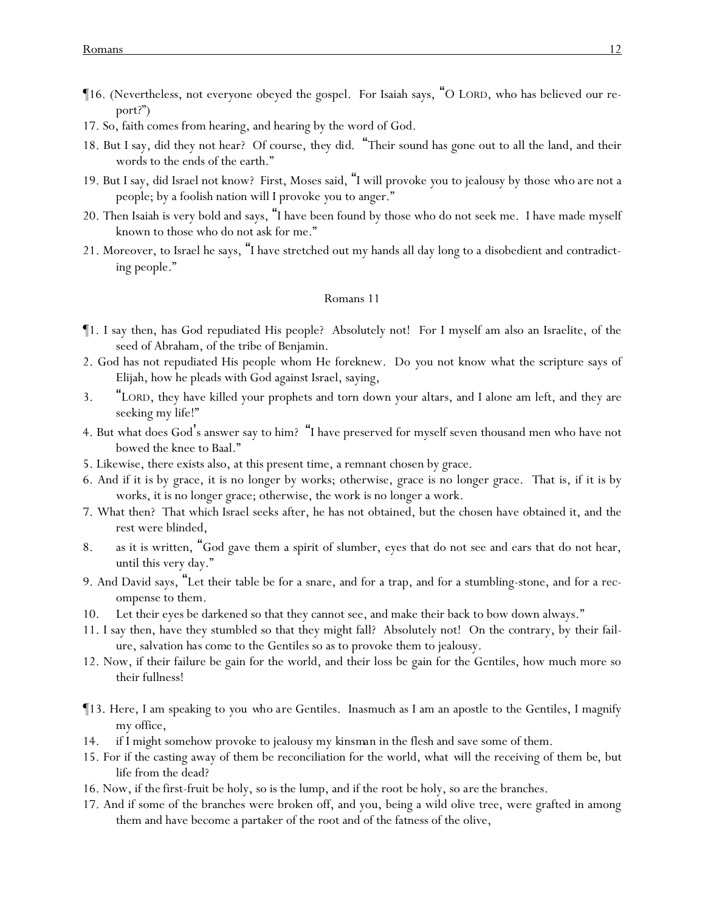- ¶16. (Nevertheless, not everyone obeyed the gospel. For Isaiah says, "O LORD, who has believed our report?")
- 17. So, faith comes from hearing, and hearing by the word of God.
- 18. But I say, did they not hear? Of course, *they did*. "Their sound has gone out to all the land, and their words to the ends of the earth."
- 19. But I say, did Israel not know? First, Moses said, "I will provoke *y*ou to jealousy by *those who are* not a people; by a foolish nation will I provoke *y*ou to anger."
- 20. Then Isaiah is very bold and says, "I have been found by those who do not seek me. I have made myself known to those who do not ask for me."
- 21. Moreover, to Israel he says, "I have stretched out my hands all day long to a disobedient and contradicting people."

- ¶1. I say then, has God repudiated His people? Absolutely not! For I myself am also an Israelite, of the seed of Abraham, of the tribe of Benjamin.
- 2. God has not repudiated His people whom He foreknew. Do *y*ou not know what the scripture says of Elijah, how he pleads with God against Israel, saying,
- 3. "LORD, they have killed your prophets and torn down your altars, and I alone am left, and they are seeking my life!"
- 4. But what does God's answer say to him? "I have preserved for myself seven thousand men who have not bowed the knee to Baal."
- 5. Likewise, there exists also, at this present time, a remnant chosen by grace.
- 6. And if *it is* by grace, *it is* no longer by works; otherwise, grace is no longer grace. That is, if *it is* by works, it is no longer grace; otherwise, the work is no longer a work.
- 7. What then? That which Israel seeks after, he has not obtained, but the chosen have obtained it, and the rest were blinded,
- 8. as it is written, "God gave them a spirit of slumber, eyes that do not see and ears that do not hear, until this very day."
- 9. And David says, "Let their table be for a snare, and for a trap, and for a stumbling-stone, and for a recompense to them.
- 10. Let their eyes be darkened so that they cannot see, and make their back to bow down always."
- 11. I say then, have they stumbled so that they might fall? Absolutely not! On the contrary, by their failure, salvation *has come* to the Gentiles so as to provoke them to jealousy.
- 12. Now, if their failure be gain for the world, and their loss be gain for the Gentiles, how much more so their fullness!
- ¶13. Here, I am speaking to *y*ou *who are* Gentiles. Inasmuch as I am an apostle to the Gentiles, I magnify my office,
- 14. if I might somehow provoke to jealousy my *kinsman in* the flesh and save some of them.
- 15. For if the casting away of them be reconciliation for the world, what *will* the receiving of them *be*, but life from the dead?
- 16. Now, if *the* first-fruit be holy, so is the lump, and if the root *be* holy, so *are* the branches.
- 17. And if some of the branches were broken off, and you, being a wild olive tree, were grafted in among them and have become a partaker of the root and of the fatness of the olive,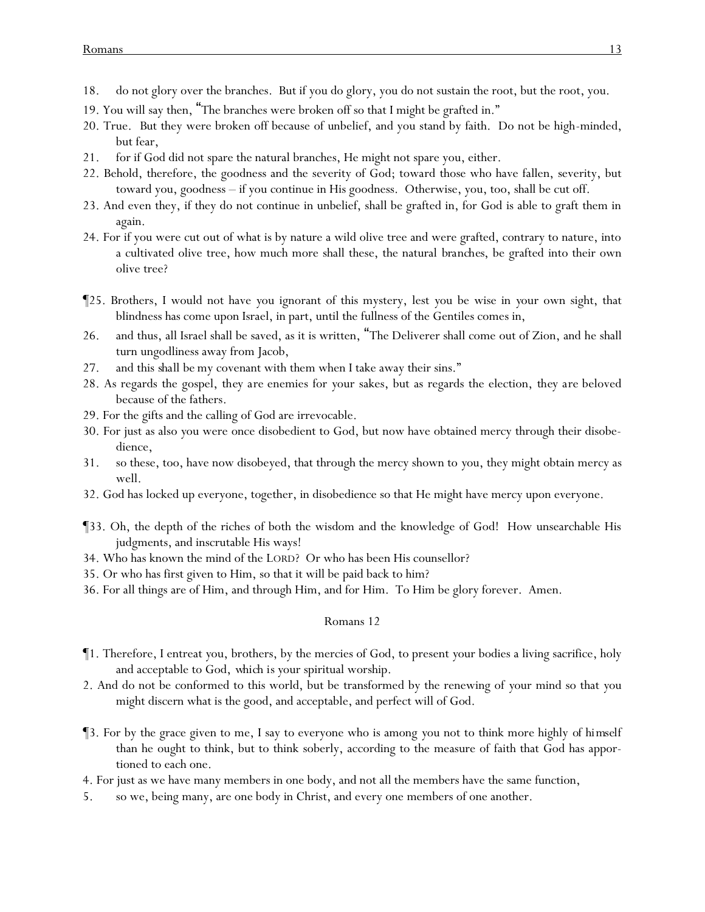- 18. do not glory over the branches. But if you do glory, you do not sustain the root, but the root, you.
- 19. You will say then, "The branches were broken off so that I might be grafted in."
- 20. True. *But* they were broken off because of unbelief, and you stand by faith. Do not be high-minded, but fear,
- 21. for if God did not spare the natural branches, He might not spare you, either.
- 22. Behold, therefore, the goodness and the severity of God; toward those who have fallen, severity, but toward you, goodness – if you continue in His goodness. Otherwise, you, too, shall be cut off.
- 23. And even they, if they do not continue in unbelief, shall be grafted in, for God is able to graft them in again.
- 24. For if you were cut out of what is by nature a wild olive tree and were grafted, contrary to nature, into a cultivated olive tree, how much more shall these, the natural *branches*, be grafted into their own olive tree?
- ¶25. Brothers, I would not have *y*ou ignorant of this mystery, lest *y*ou be wise in *y*our own sight, that blindness has come upon Israel, in part, until the fullness of the Gentiles comes in,
- 26. and thus, all Israel shall be saved, as it is written, "The Deliverer shall come out of Zion, and he shall turn ungodliness away from Jacob,
- 27. and this *shall be* my covenant with them when I take away their sins."
- 28. As regards the gospel, *they are* enemies for *y*our sakes, but as regards the election, *they are* beloved because of the fathers.
- 29. For the gifts and the calling of God are irrevocable.
- 30. For just as also *y*ou were once disobedient to God, but now have obtained mercy through their disobedience,
- 31. so these, too, have now disobeyed, that through the mercy shown to *y*ou, they might obtain mercy as well.
- 32. God has locked up everyone, together, in disobedience so that He might have mercy upon everyone.
- ¶33. Oh, the depth of the riches of both the wisdom and the knowledge of God! How unsearchable His judgments, and inscrutable His ways!
- 34. Who has known the mind of the LORD? Or who has been His counsellor?
- 35. Or who has first given to Him, so that it will be paid back to him?
- 36. For all things are of Him, and through Him, and for Him. To Him be glory forever. Amen.

- ¶1. Therefore, I entreat *y*ou, brothers, by the mercies of God, to present *y*our bodies a living sacrifice, holy and acceptable to God, *which is y*our spiritual worship.
- 2. And do not be conformed to this world, but be transformed by the renewing of *y*our mind so that *y*ou might discern what is the good, and acceptable, and perfect will of God.
- ¶3. For by the grace given to me, I say to everyone who is among *y*ou not to think more highly *of himself* than he ought to think, but to think soberly, according to the measure of faith that God has apportioned to each one.
- 4. For just as we have many members in one body, and not all the members have the same function,
- 5. so we, being many, are one body in Christ, and every one members of one another.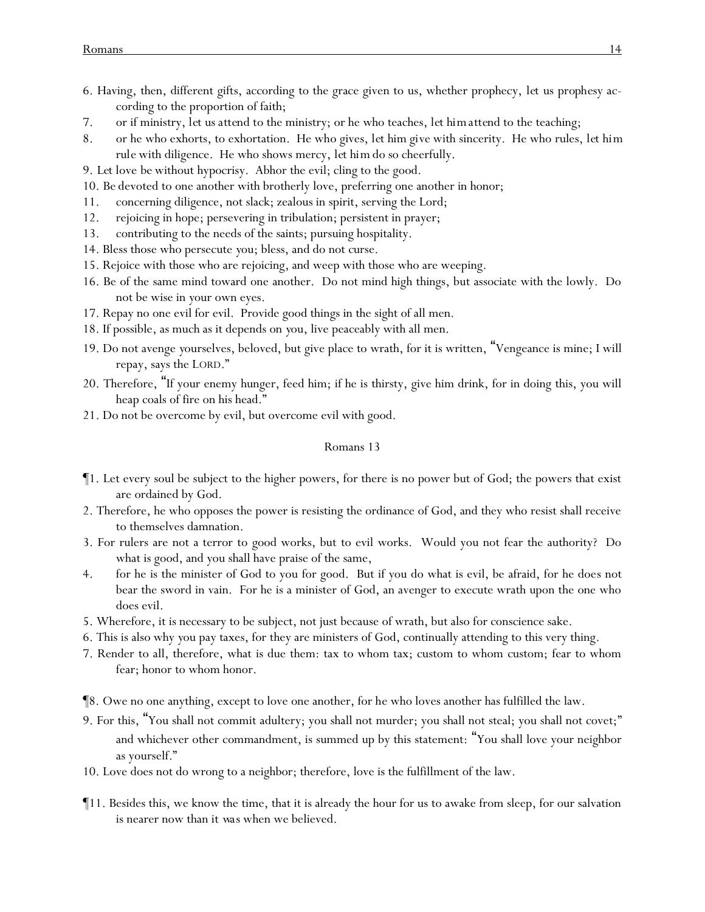- 6. Having, then, different gifts, according to the grace given to us, whether prophecy, *let us prophesy* according to the proportion of faith;
- 7. or if ministry, *let us attend* to the ministry; or he who teaches, *let him attend* to the teaching;
- 8. or he who exhorts, to exhortation. He who gives, *let him give* with sincerity. He who rules, *let him rule* with diligence. He who shows mercy, *let him do so* cheerfully.
- 9. *Let* love *be* without hypocrisy. Abhor the evil; cling to the good.
- 10. *Be* devoted to one another with brotherly love, preferring one another in honor;
- 11. concerning diligence, not slack; zealous in spirit, serving the Lord;
- 12. rejoicing in hope; persevering in tribulation; persistent in prayer;
- 13. contributing to the needs of the saints; pursuing hospitality.
- 14. Bless those who persecute *y*ou; bless, and do not curse.
- 15. Rejoice with those who are rejoicing, and weep with those who are weeping.
- 16. Be of the same mind toward one another. Do not mind high things, but associate with the lowly. Do not be wise in *y*our own eyes.
- 17. Repay no one evil for evil. Provide good things in the sight of all men.
- 18. If possible, as much as it depends on *y*ou, live peaceably with all men.
- 19. Do not avenge *y*ourselves, beloved, but give place to wrath, for it is written, "Vengeance is mine; I will repay, says the LORD."
- 20. Therefore, "If your enemy hunger, feed him; if he is thirsty, give him drink, for in doing this, you will heap coals of fire on his head."
- 21. Do not be overcome by evil, but overcome evil with good.

- ¶1. Let every soul be subject to the higher powers, for there is no power but of God; the powers that exist are ordained by God.
- 2. Therefore, he who opposes the power is resisting the ordinance of God, and they who resist shall receive to themselves damnation.
- 3. For rulers are not a terror to good works, but to evil works. Would you not fear the authority? Do what is good, and you shall have praise of the same,
- 4. for he is the minister of God to you for good. But if you do what is evil, be afraid, for he does not bear the sword in vain. For he is a minister of God, an avenger to execute wrath upon the one who does evil.
- 5. Wherefore, it is necessary to be subject, not just because of wrath, but also for conscience sake.
- 6. This is also why *y*ou pay taxes, for they are ministers of God, continually attending to this very thing.
- 7. Render to all, therefore, what is due them: tax to whom tax; custom to whom custom; fear to whom fear; honor to whom honor.
- ¶8. Owe no one anything, except to love one another, for he who loves another has fulfilled the law.
- 9. For this, "You shall not commit adultery; you shall not murder; you shall not steal; you shall not covet;" and whichever other commandment, is summed up by this statement: "You shall love your neighbor as yourself."
- 10. Love does not do wrong to a neighbor; therefore, love is the fulfillment of the law.
- ¶11. Besides this, we know the time, that it is already the hour for us to awake from sleep, for our salvation is nearer now than *it was* when we believed.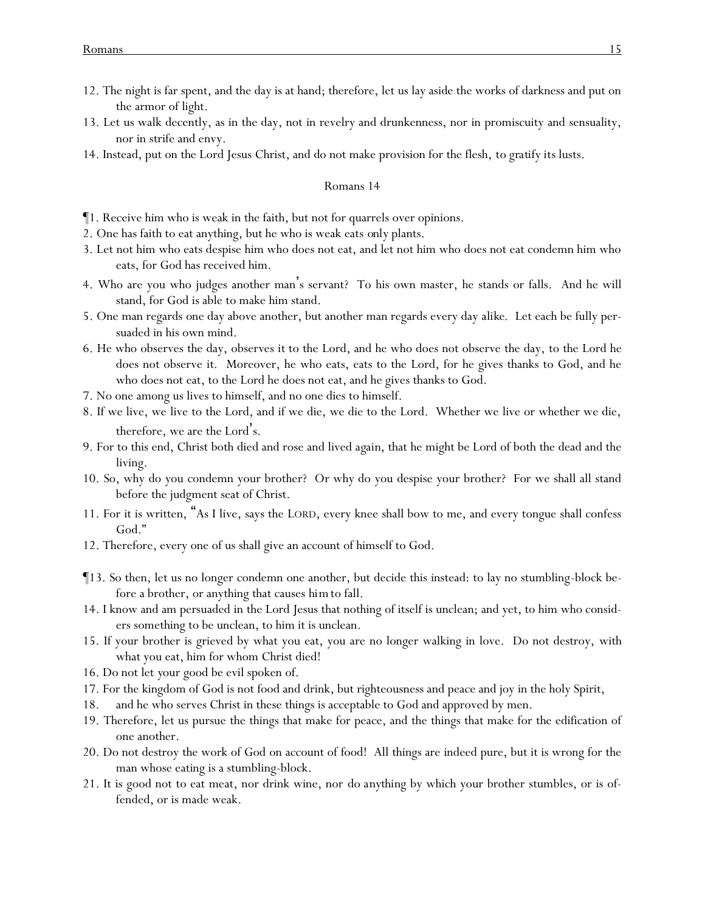- 12. The night is far spent, and the day is at hand; therefore, let us lay aside the works of darkness and put on the armor of light.
- 13. Let us walk decently, as in the day, not in revelry and drunkenness, nor in promiscuity and sensuality, nor in strife and envy.
- 14. Instead, put on the Lord Jesus Christ, and do not make provision for the flesh, *to gratify its* lusts.

- ¶1. Receive him who is weak in the faith, but not for quarrels over opinions.
- 2. One has faith to eat anything, but he who is weak eats *only* plants.
- 3. Let not him who eats despise him who does not eat, and let not him who does not eat condemn him who eats, for God has received him.
- 4. Who are you who judges another man's servant? To his own master, he stands or falls. And he will stand, for God is able to make him stand.
- 5. One man regards one day above another, but another man regards every day *alike*. Let each be fully persuaded in his own mind.
- 6. He who observes the day, observes *it* to the Lord, and he who does not observe the day, to the Lord he does not observe *it*. Moreover, he who eats, eats to the Lord, for he gives thanks to God, and he who does not eat, to the Lord he does not eat, and he gives thanks to God.
- 7. No one among us lives to himself, and no one dies to himself.
- 8. If we live, we live to the Lord, and if we die, we die to the Lord. Whether we live or whether we die, therefore, we are the Lord's.
- 9. For to this end, Christ both died and rose and lived *again*, that he might be Lord of both the dead and the living.
- 10. So, why do you condemn your brother? Or why do you despise your brother? For we shall all stand before the judgment seat of Christ.
- 11. For it is written, "As I live, says the LORD, every knee shall bow to me, and every tongue shall confess God."
- 12. Therefore, every one of us shall give an account of himself to God.
- ¶13. So then, let us no longer condemn one another, but decide this instead: to lay no stumbling-block before a brother, or anything that causes *him*to fall.
- 14. I know and am persuaded in the Lord Jesus that nothing of itself is unclean; and yet, to him who considers something to be unclean, to him it is unclean.
- 15. If your brother is grieved by what you eat, you are no longer walking in love. Do not destroy, with what you eat, him for whom Christ died!
- 16. Do not let *y*our good be evil spoken of.
- 17. For the kingdom of God is not food and drink, but righteousness and peace and joy in the holy Spirit,
- 18. and he who serves Christ in these things is acceptable to God and approved by men.
- 19. Therefore, let us pursue the things that make for peace, and the things that make for the edification of one another.
- 20. Do not destroy the work of God on account of food! All things are indeed pure, but it is wrong for the man whose eating is a stumbling-block.
- 21. It is good not to eat meat, nor drink wine, nor *do anything* by which your brother stumbles, or is offended, or is made weak.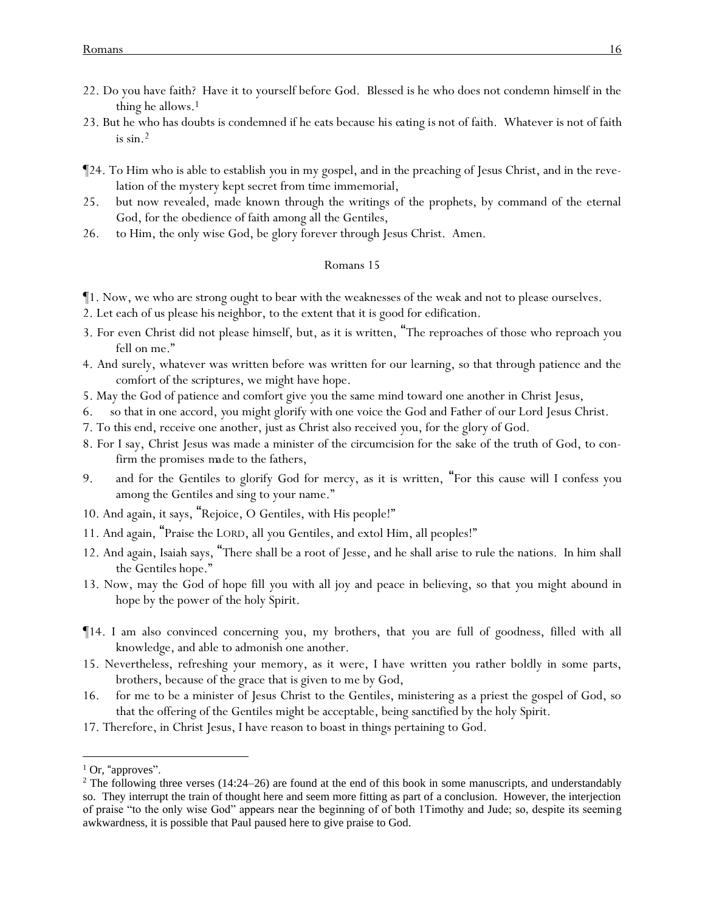- 22. Do you have faith? Have it to yourself before God. Blessed is he who does not condemn himself in the thing he allows.<sup>1</sup>
- 23. But he who has doubts is condemned if he eats because *his eating is* not of faith. Whatever is not of faith is  $\sin^2$
- ¶24. To Him who is able to establish *y*ou in my gospel, and in the preaching of Jesus Christ, and in the revelation of the mystery kept secret from time immemorial,
- 25. but now revealed, made known through the writings of the prophets, by command of the eternal God, for the obedience of faith among all the Gentiles,
- 26. to Him, the only wise God, be glory forever through Jesus Christ. Amen.

- ¶1. Now, we who are strong ought to bear with the weaknesses of the weak and not to please ourselves.
- 2. Let each of us please his neighbor, to the extent that it is good for edification.
- 3. For even Christ did not please himself, but, as it is written, "The reproaches of those who reproach you fell on me."
- 4. And surely, whatever was written before was written for our learning, so that through patience and the comfort of the scriptures, we might have hope.
- 5. May the God of patience and comfort give *y*ou the same mind toward one another in Christ Jesus,
- 6. so that in one accord, *y*ou might glorify with one voice the God and Father of our Lord Jesus Christ.
- 7. To this end, receive one another, just as Christ also received *y*ou, for the glory of God.
- 8. For I say, Christ Jesus was made a minister of the circumcision for the sake of the truth of God, to confirm the promises *made* to the fathers,
- 9. and for the Gentiles to glorify God for mercy, as it is written, "For this cause will I confess you among the Gentiles and sing to your name."
- 10. And again, it says, "Rejoice, O Gentiles, with His people!"
- 11. And again, "Praise the LORD, all *y*ou Gentiles, and extol Him, all peoples!"
- 12. And again, Isaiah says, "There shall be a root of Jesse, and he shall arise to rule the nations. In him shall the Gentiles hope."
- 13. Now, may the God of hope fill *y*ou with all joy and peace in believing, so that *y*ou might abound in hope by the power of the holy Spirit.
- ¶14. I am also convinced concerning *y*ou, my brothers, that *y*ou are full of goodness, filled with all knowledge, and able to admonish one another.
- 15. Nevertheless, refreshing *y*our memory, as it were, I have written *y*ou rather boldly in some parts, brothers, because of the grace that is given to me by God,
- 16. for me to be a minister of Jesus Christ to the Gentiles, ministering as a priest the gospel of God, so that the offering of the Gentiles might be acceptable, being sanctified by the holy Spirit.
- 17. Therefore, in Christ Jesus, I have reason to boast in things pertaining to God.

 $1$  Or, "approves".

<sup>&</sup>lt;sup>2</sup> The following three verses (14:24–26) are found at the end of this book in some manuscripts, and understandably so. They interrupt the train of thought here and seem more fitting as part of a conclusion. However, the interjection of praise "to the only wise God" appears near the beginning of of both 1Timothy and Jude; so, despite its seeming awkwardness, it is possible that Paul paused here to give praise to God.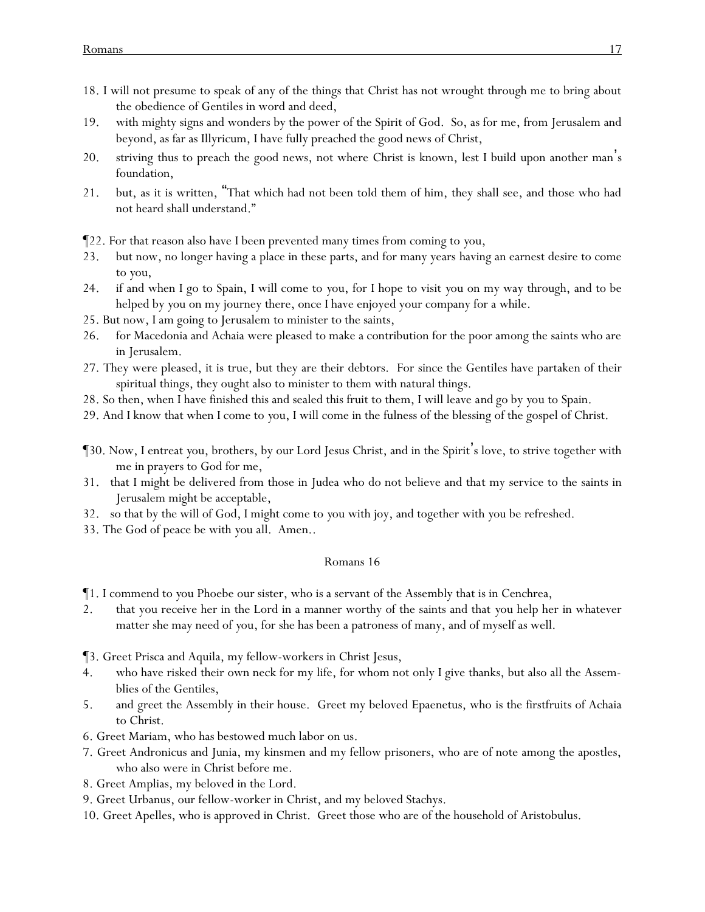- 18. I will not presume to speak of any of the things that Christ has not wrought through me to bring about the obedience of Gentiles in word and deed,
- 19. with mighty signs and wonders by the power of the Spirit of God. So, as for me, from Jerusalem and beyond, as far as Illyricum, I have fully preached the good news of Christ,
- 20. striving thus to preach the good news, not where Christ is known, lest I build upon another man's foundation,
- 21. but, as it is written, "That which had not been told them of him, they shall see, and those who had not heard shall understand."

¶22. For that reason also have I been prevented many times from coming to *y*ou,

- 23. but now, no longer having a place in these parts, and for many years having an earnest desire to come to *y*ou,
- 24. if and when I go to Spain, I will come to *y*ou, for I hope to visit *y*ou on my way through, and to be helped by *y*ou on my journey there, once I have enjoyed your company for a while.
- 25. But now, I am going to Jerusalem to minister to the saints,
- 26. for Macedonia and Achaia were pleased to make a contribution for the poor among the saints who are in Jerusalem.
- 27. They were pleased, it is true, but they are their debtors. For since the Gentiles have partaken of their spiritual things, they ought also to minister to them with natural things.
- 28. So then, when I have finished this and sealed this fruit to them, I will leave *and go* by *y*ou to Spain.
- 29. And I know that when I come to *y*ou, I will come in the fulness of the blessing of the gospel of Christ.
- ¶30. Now, I entreat *y*ou, brothers, by our Lord Jesus Christ, and in the Spirit's love, to strive together with me in prayers to God for me,
- 31. that I might be delivered from those in Judea who do not believe and that my service to the saints in Jerusalem might be acceptable,
- 32. so that by the will of God, I might come to *y*ou with joy, and together with *y*ou be refreshed.
- 33. The God of peace be with *y*ou all. Amen..

- ¶1. I commend to *y*ou Phoebe our sister, who is a servant of the Assembly that is in Cenchrea,
- 2. that you receive her in the Lord in a manner worthy of the saints and that *y*ou help her in whatever matter she may need of *y*ou, for she has been a patroness of many, and of myself as well.
- ¶3. Greet Prisca and Aquila, my fellow-workers in Christ Jesus,
- 4. who have risked their own neck for my life, for whom not only I give thanks, but also all the Assemblies of the Gentiles,
- 5. and *greet* the Assembly in their house. Greet my beloved Epaenetus, who is the firstfruits of Achaia to Christ.
- 6. Greet Mariam, who has bestowed much labor on us.
- 7. Greet Andronicus and Junia, my kinsmen and my fellow prisoners, who are of note among the apostles, who also were in Christ before me.
- 8. Greet Amplias, my beloved in the Lord.
- 9. Greet Urbanus, our fellow-worker in Christ, and my beloved Stachys.
- 10. Greet Apelles, who is approved in Christ. Greet those who are of the household of Aristobulus.